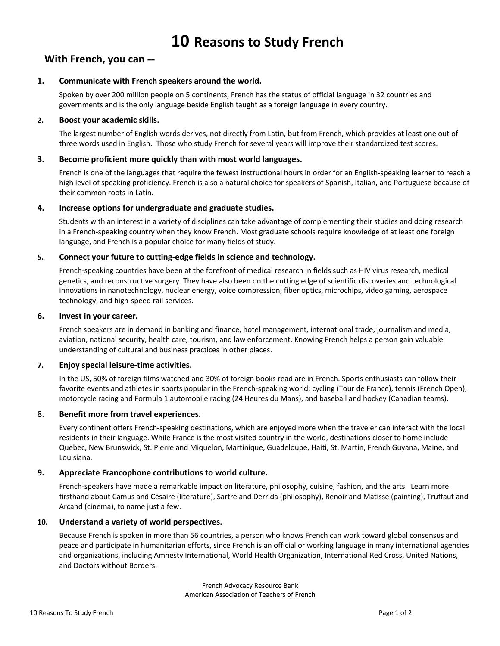# **With French, you can --**

# **1. Communicate with French speakers around the world.**

Spoken by over 200 million people on 5 continents, French has the status of official language in 32 countries and governments and is the only language beside English taught as a foreign language in every country.

#### **2. Boost your academic skills.**

The largest number of English words derives, not directly from Latin, but from French, which provides at least one out of three words used in English. Those who study French for several years will improve their standardized test scores.

# **3. Become proficient more quickly than with most world languages.**

French is one of the languages that require the fewest instructional hours in order for an English-speaking learner to reach a high level of speaking proficiency. French is also a natural choice for speakers of Spanish, Italian, and Portuguese because of their common roots in Latin.

# **4. Increase options for undergraduate and graduate studies.**

Students with an interest in a variety of disciplines can take advantage of complementing their studies and doing research in a French-speaking country when they know French. Most graduate schools require knowledge of at least one foreign language, and French is a popular choice for many fields of study.

# **5. Connect your future to cutting-edge fields in science and technology.**

French-speaking countries have been at the forefront of medical research in fields such as HIV virus research, medical genetics, and reconstructive surgery. They have also been on the cutting edge of scientific discoveries and technological innovations in nanotechnology, nuclear energy, voice compression, fiber optics, microchips, video gaming, aerospace technology, and high-speed rail services.

#### **6. Invest in your career.**

French speakers are in demand in banking and finance, hotel management, international trade, journalism and media, aviation, national security, health care, tourism, and law enforcement. Knowing French helps a person gain valuable understanding of cultural and business practices in other places.

#### **7. Enjoy special leisure-time activities.**

In the US, 50% of foreign films watched and 30% of foreign books read are in French. Sports enthusiasts can follow their favorite events and athletes in sports popular in the French-speaking world: cycling (Tour de France), tennis (French Open), motorcycle racing and Formula 1 automobile racing (24 Heures du Mans), and baseball and hockey (Canadian teams).

#### 8. **Benefit more from travel experiences.**

Every continent offers French-speaking destinations, which are enjoyed more when the traveler can interact with the local residents in their language. While France is the most visited country in the world, destinations closer to home include Quebec, New Brunswick, St. Pierre and Miquelon, Martinique, Guadeloupe, Haiti, St. Martin, French Guyana, Maine, and Louisiana.

#### **9. Appreciate Francophone contributions to world culture.**

French-speakers have made a remarkable impact on literature, philosophy, cuisine, fashion, and the arts. Learn more firsthand about Camus and Césaire (literature), Sartre and Derrida (philosophy), Renoir and Matisse (painting), Truffaut and Arcand (cinema), to name just a few.

#### **10. Understand a variety of world perspectives.**

Because French is spoken in more than 56 countries, a person who knows French can work toward global consensus and peace and participate in humanitarian efforts, since French is an official or working language in many international agencies and organizations, including Amnesty International, World Health Organization, International Red Cross, United Nations, and Doctors without Borders.

> French Advocacy Resource Bank American Association of Teachers of French